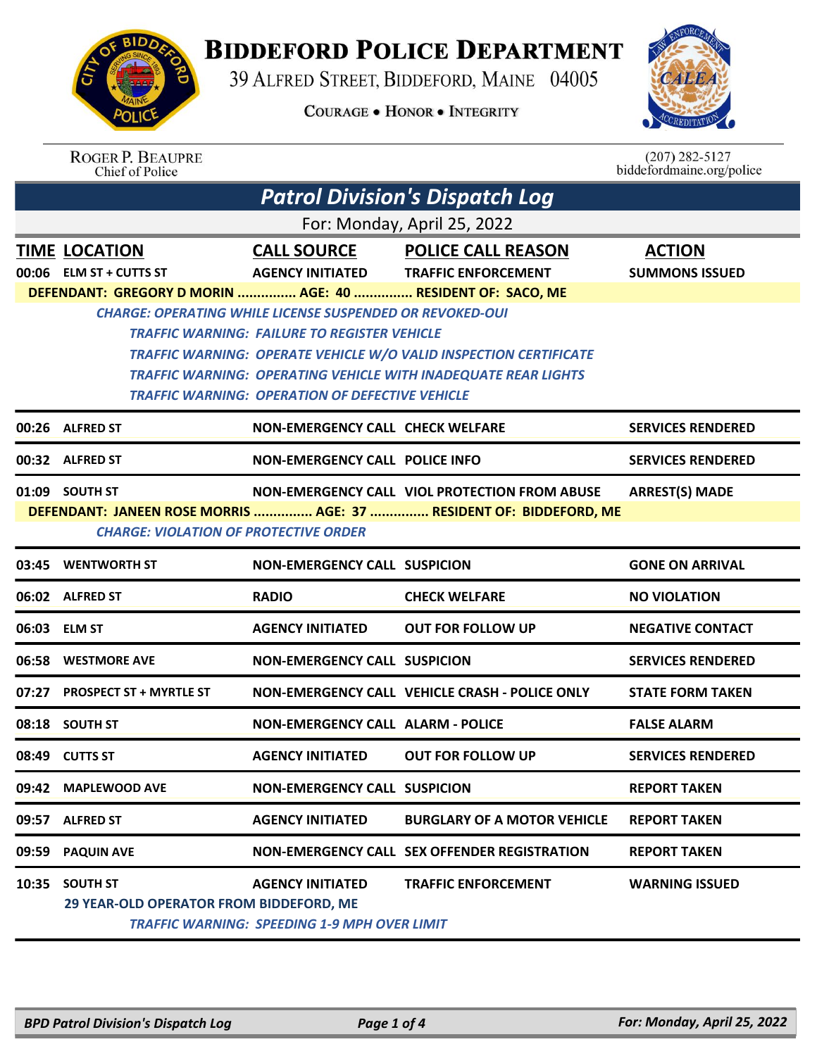

## **BIDDEFORD POLICE DEPARTMENT**

39 ALFRED STREET, BIDDEFORD, MAINE 04005

**COURAGE . HONOR . INTEGRITY** 



| <b>ROGER P. BEAUPRE</b> |
|-------------------------|
| Chief of Police         |

 $(207)$  282-5127<br>biddefordmaine.org/police

| <b>Patrol Division's Dispatch Log</b>                  |                                                                  |                                                                                |                                                                          |                                        |  |
|--------------------------------------------------------|------------------------------------------------------------------|--------------------------------------------------------------------------------|--------------------------------------------------------------------------|----------------------------------------|--|
| For: Monday, April 25, 2022                            |                                                                  |                                                                                |                                                                          |                                        |  |
|                                                        | <b>TIME LOCATION</b><br>$00:06$ ELM ST + CUTTS ST                | <b>CALL SOURCE</b><br><b>AGENCY INITIATED</b>                                  | <b>POLICE CALL REASON</b><br><b>TRAFFIC ENFORCEMENT</b>                  | <b>ACTION</b><br><b>SUMMONS ISSUED</b> |  |
|                                                        | DEFENDANT: GREGORY D MORIN  AGE: 40  RESIDENT OF: SACO, ME       |                                                                                |                                                                          |                                        |  |
|                                                        |                                                                  | <b>CHARGE: OPERATING WHILE LICENSE SUSPENDED OR REVOKED-OUI</b>                |                                                                          |                                        |  |
|                                                        |                                                                  | <b>TRAFFIC WARNING: FAILURE TO REGISTER VEHICLE</b>                            |                                                                          |                                        |  |
|                                                        |                                                                  |                                                                                | <b>TRAFFIC WARNING: OPERATE VEHICLE W/O VALID INSPECTION CERTIFICATE</b> |                                        |  |
|                                                        |                                                                  |                                                                                | <b>TRAFFIC WARNING: OPERATING VEHICLE WITH INADEQUATE REAR LIGHTS</b>    |                                        |  |
| <b>TRAFFIC WARNING: OPERATION OF DEFECTIVE VEHICLE</b> |                                                                  |                                                                                |                                                                          |                                        |  |
|                                                        | 00:26 ALFRED ST                                                  | <b>NON-EMERGENCY CALL CHECK WELFARE</b>                                        |                                                                          | <b>SERVICES RENDERED</b>               |  |
|                                                        | 00:32 ALFRED ST                                                  | <b>NON-EMERGENCY CALL POLICE INFO</b>                                          |                                                                          | <b>SERVICES RENDERED</b>               |  |
|                                                        | 01:09 SOUTH ST                                                   |                                                                                | NON-EMERGENCY CALL VIOL PROTECTION FROM ABUSE                            | <b>ARREST(S) MADE</b>                  |  |
|                                                        |                                                                  |                                                                                | DEFENDANT: JANEEN ROSE MORRIS  AGE: 37  RESIDENT OF: BIDDEFORD, ME       |                                        |  |
|                                                        | <b>CHARGE: VIOLATION OF PROTECTIVE ORDER</b>                     |                                                                                |                                                                          |                                        |  |
|                                                        | 03:45 WENTWORTH ST                                               | <b>NON-EMERGENCY CALL SUSPICION</b>                                            |                                                                          | <b>GONE ON ARRIVAL</b>                 |  |
|                                                        | 06:02 ALFRED ST                                                  | <b>RADIO</b>                                                                   | <b>CHECK WELFARE</b>                                                     | <b>NO VIOLATION</b>                    |  |
|                                                        | 06:03 ELM ST                                                     | <b>AGENCY INITIATED</b>                                                        | <b>OUT FOR FOLLOW UP</b>                                                 | <b>NEGATIVE CONTACT</b>                |  |
|                                                        | 06:58 WESTMORE AVE                                               | <b>NON-EMERGENCY CALL SUSPICION</b>                                            |                                                                          | <b>SERVICES RENDERED</b>               |  |
|                                                        | 07:27 PROSPECT ST + MYRTLE ST                                    |                                                                                | NON-EMERGENCY CALL VEHICLE CRASH - POLICE ONLY                           | <b>STATE FORM TAKEN</b>                |  |
|                                                        | 08:18 SOUTH ST                                                   | <b>NON-EMERGENCY CALL ALARM - POLICE</b>                                       |                                                                          | <b>FALSE ALARM</b>                     |  |
|                                                        | 08:49 CUTTS ST                                                   | <b>AGENCY INITIATED</b>                                                        | <b>OUT FOR FOLLOW UP</b>                                                 | <b>SERVICES RENDERED</b>               |  |
|                                                        | 09:42 MAPLEWOOD AVE                                              | <b>NON-EMERGENCY CALL SUSPICION</b>                                            |                                                                          | <b>REPORT TAKEN</b>                    |  |
|                                                        | 09:57 ALFRED ST                                                  | <b>AGENCY INITIATED</b>                                                        | <b>BURGLARY OF A MOTOR VEHICLE</b>                                       | <b>REPORT TAKEN</b>                    |  |
|                                                        | 09:59 PAQUIN AVE                                                 |                                                                                | NON-EMERGENCY CALL SEX OFFENDER REGISTRATION                             | <b>REPORT TAKEN</b>                    |  |
|                                                        | 10:35 SOUTH ST<br><b>29 YEAR-OLD OPERATOR FROM BIDDEFORD, ME</b> | <b>AGENCY INITIATED</b><br><b>TRAFFIC WARNING: SPEEDING 1-9 MPH OVER LIMIT</b> | <b>TRAFFIC ENFORCEMENT</b>                                               | <b>WARNING ISSUED</b>                  |  |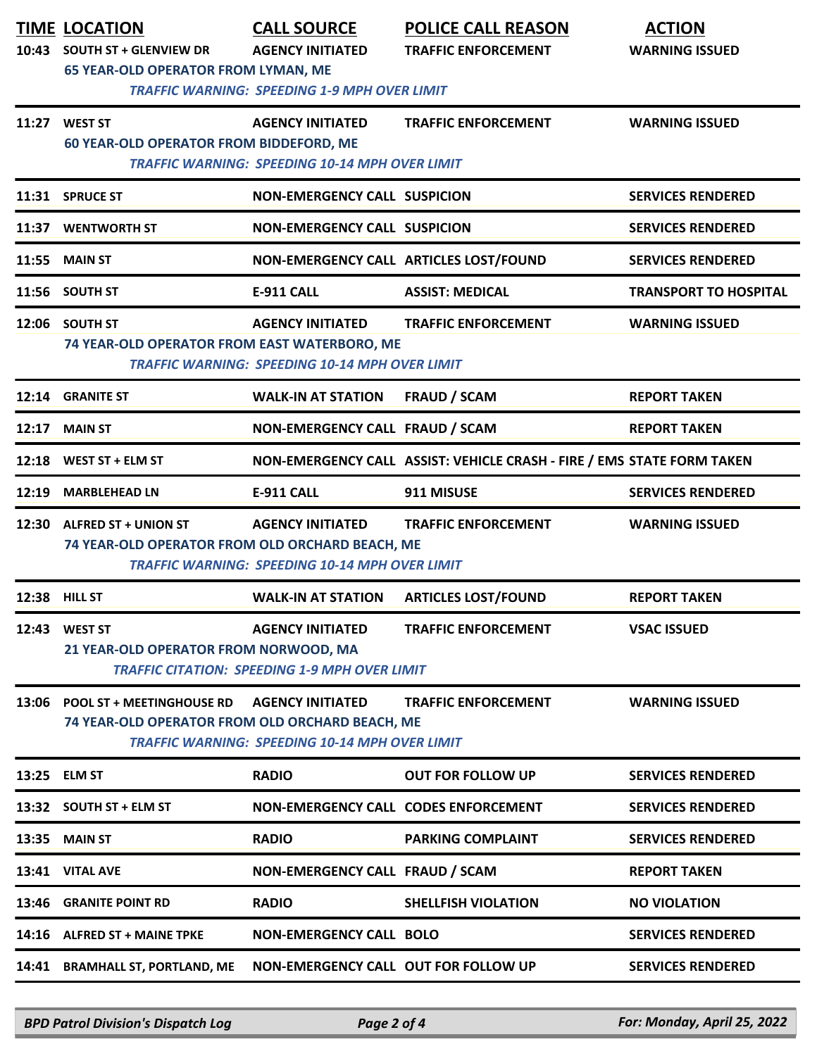| 10:43 | <b>TIME LOCATION</b><br><b>SOUTH ST + GLENVIEW DR</b><br><b>65 YEAR-OLD OPERATOR FROM LYMAN, ME</b> | <b>CALL SOURCE</b><br><b>AGENCY INITIATED</b><br><b>TRAFFIC WARNING: SPEEDING 1-9 MPH OVER LIMIT</b> | <b>POLICE CALL REASON</b><br><b>TRAFFIC ENFORCEMENT</b>                | <b>ACTION</b><br><b>WARNING ISSUED</b> |
|-------|-----------------------------------------------------------------------------------------------------|------------------------------------------------------------------------------------------------------|------------------------------------------------------------------------|----------------------------------------|
|       | 11:27 WEST ST<br><b>60 YEAR-OLD OPERATOR FROM BIDDEFORD, ME</b>                                     | <b>AGENCY INITIATED</b><br><b>TRAFFIC WARNING: SPEEDING 10-14 MPH OVER LIMIT</b>                     | <b>TRAFFIC ENFORCEMENT</b>                                             | <b>WARNING ISSUED</b>                  |
|       | 11:31 SPRUCE ST                                                                                     | <b>NON-EMERGENCY CALL SUSPICION</b>                                                                  |                                                                        | <b>SERVICES RENDERED</b>               |
| 11:37 | <b>WENTWORTH ST</b>                                                                                 | <b>NON-EMERGENCY CALL SUSPICION</b>                                                                  |                                                                        | <b>SERVICES RENDERED</b>               |
| 11:55 | <b>MAIN ST</b>                                                                                      |                                                                                                      | NON-EMERGENCY CALL ARTICLES LOST/FOUND                                 | <b>SERVICES RENDERED</b>               |
|       | 11:56 SOUTH ST                                                                                      | <b>E-911 CALL</b>                                                                                    | <b>ASSIST: MEDICAL</b>                                                 | <b>TRANSPORT TO HOSPITAL</b>           |
|       | 12:06 SOUTH ST<br>74 YEAR-OLD OPERATOR FROM EAST WATERBORO, ME                                      | <b>AGENCY INITIATED</b><br><b>TRAFFIC WARNING: SPEEDING 10-14 MPH OVER LIMIT</b>                     | <b>TRAFFIC ENFORCEMENT</b>                                             | <b>WARNING ISSUED</b>                  |
| 12:14 | <b>GRANITE ST</b>                                                                                   | <b>WALK-IN AT STATION</b>                                                                            | <b>FRAUD / SCAM</b>                                                    | <b>REPORT TAKEN</b>                    |
| 12:17 | <b>MAIN ST</b>                                                                                      | NON-EMERGENCY CALL FRAUD / SCAM                                                                      |                                                                        | <b>REPORT TAKEN</b>                    |
| 12:18 | WEST ST + ELM ST                                                                                    |                                                                                                      | NON-EMERGENCY CALL ASSIST: VEHICLE CRASH - FIRE / EMS STATE FORM TAKEN |                                        |
| 12:19 | <b>MARBLEHEAD LN</b>                                                                                | E-911 CALL                                                                                           | 911 MISUSE                                                             | <b>SERVICES RENDERED</b>               |
|       | 12:30 ALFRED ST + UNION ST<br>74 YEAR-OLD OPERATOR FROM OLD ORCHARD BEACH, ME                       | <b>AGENCY INITIATED</b><br><b>TRAFFIC WARNING: SPEEDING 10-14 MPH OVER LIMIT</b>                     | <b>TRAFFIC ENFORCEMENT</b>                                             | <b>WARNING ISSUED</b>                  |
|       | 12:38 HILL ST                                                                                       | <b>WALK-IN AT STATION</b>                                                                            | <b>ARTICLES LOST/FOUND</b>                                             | <b>REPORT TAKEN</b>                    |
|       | 12:43 WEST ST<br>21 YEAR-OLD OPERATOR FROM NORWOOD, MA                                              | <b>AGENCY INITIATED</b><br><b>TRAFFIC CITATION: SPEEDING 1-9 MPH OVER LIMIT</b>                      | <b>TRAFFIC ENFORCEMENT</b>                                             | <b>VSAC ISSUED</b>                     |
| 13:06 | <b>POOL ST + MEETINGHOUSE RD</b><br>74 YEAR-OLD OPERATOR FROM OLD ORCHARD BEACH, ME                 | <b>AGENCY INITIATED</b><br><b>TRAFFIC WARNING: SPEEDING 10-14 MPH OVER LIMIT</b>                     | <b>TRAFFIC ENFORCEMENT</b>                                             | <b>WARNING ISSUED</b>                  |
| 13:25 | <b>ELM ST</b>                                                                                       | <b>RADIO</b>                                                                                         | <b>OUT FOR FOLLOW UP</b>                                               | <b>SERVICES RENDERED</b>               |
|       | 13:32 SOUTH ST + ELM ST                                                                             | <b>NON-EMERGENCY CALL CODES ENFORCEMENT</b>                                                          |                                                                        | <b>SERVICES RENDERED</b>               |
| 13:35 | <b>MAIN ST</b>                                                                                      | <b>RADIO</b>                                                                                         | <b>PARKING COMPLAINT</b>                                               | <b>SERVICES RENDERED</b>               |
|       | 13:41 VITAL AVE                                                                                     | NON-EMERGENCY CALL FRAUD / SCAM                                                                      |                                                                        | <b>REPORT TAKEN</b>                    |
| 13:46 | <b>GRANITE POINT RD</b>                                                                             | <b>RADIO</b>                                                                                         | <b>SHELLFISH VIOLATION</b>                                             | <b>NO VIOLATION</b>                    |
|       | 14:16 ALFRED ST + MAINE TPKE                                                                        | <b>NON-EMERGENCY CALL BOLO</b>                                                                       |                                                                        | <b>SERVICES RENDERED</b>               |
| 14:41 | <b>BRAMHALL ST, PORTLAND, ME</b>                                                                    | NON-EMERGENCY CALL OUT FOR FOLLOW UP                                                                 |                                                                        | <b>SERVICES RENDERED</b>               |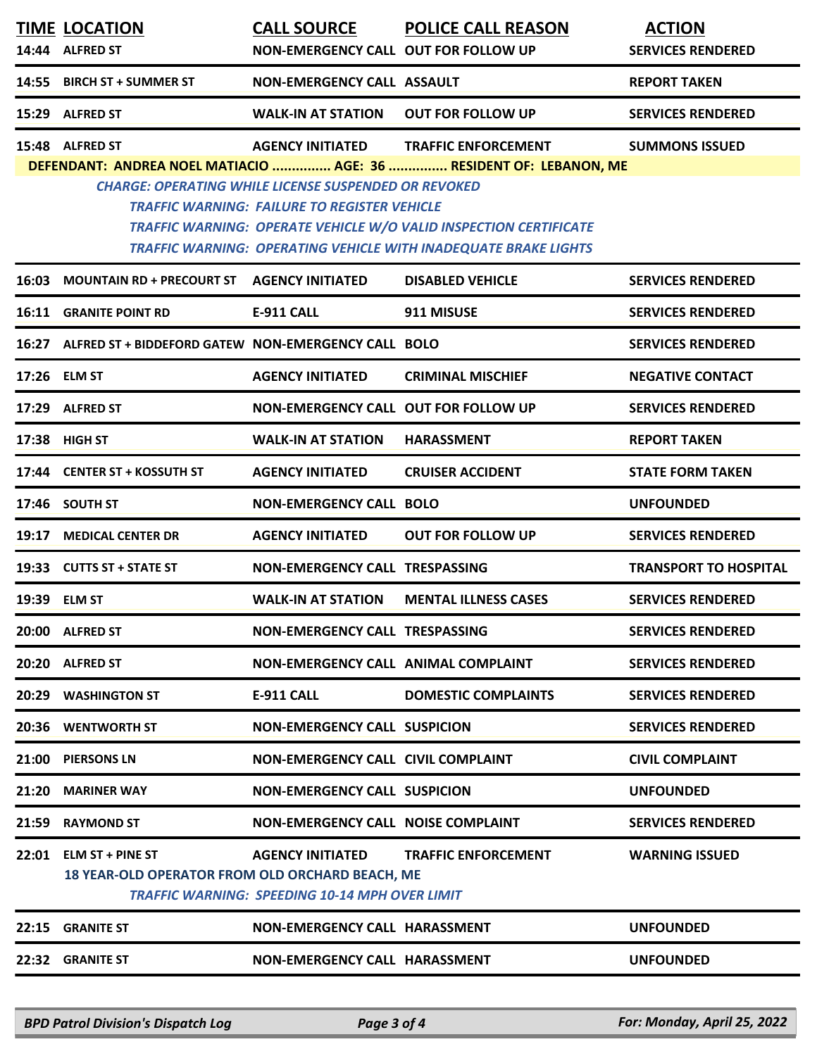|       | <b>TIME LOCATION</b><br>14:44 ALFRED ST                                          | <b>CALL SOURCE</b><br><b>NON-EMERGENCY CALL OUT FOR FOLLOW UP</b>                      | <b>POLICE CALL REASON</b>                                                                                                                          | <b>ACTION</b><br><b>SERVICES RENDERED</b> |
|-------|----------------------------------------------------------------------------------|----------------------------------------------------------------------------------------|----------------------------------------------------------------------------------------------------------------------------------------------------|-------------------------------------------|
| 14:55 | <b>BIRCH ST + SUMMER ST</b>                                                      | <b>NON-EMERGENCY CALL ASSAULT</b>                                                      |                                                                                                                                                    | <b>REPORT TAKEN</b>                       |
|       | 15:29 ALFRED ST                                                                  | <b>WALK-IN AT STATION</b>                                                              | <b>OUT FOR FOLLOW UP</b>                                                                                                                           | <b>SERVICES RENDERED</b>                  |
|       | 15:48 ALFRED ST                                                                  | <b>AGENCY INITIATED</b><br><b>CHARGE: OPERATING WHILE LICENSE SUSPENDED OR REVOKED</b> | <b>TRAFFIC ENFORCEMENT</b><br>DEFENDANT: ANDREA NOEL MATIACIO  AGE: 36  RESIDENT OF: LEBANON, ME                                                   | <b>SUMMONS ISSUED</b>                     |
|       |                                                                                  | <b>TRAFFIC WARNING: FAILURE TO REGISTER VEHICLE</b>                                    | <b>TRAFFIC WARNING: OPERATE VEHICLE W/O VALID INSPECTION CERTIFICATE</b><br><b>TRAFFIC WARNING: OPERATING VEHICLE WITH INADEQUATE BRAKE LIGHTS</b> |                                           |
| 16:03 | MOUNTAIN RD + PRECOURT ST AGENCY INITIATED                                       |                                                                                        | <b>DISABLED VEHICLE</b>                                                                                                                            | <b>SERVICES RENDERED</b>                  |
| 16:11 | <b>GRANITE POINT RD</b>                                                          | <b>E-911 CALL</b>                                                                      | 911 MISUSE                                                                                                                                         | <b>SERVICES RENDERED</b>                  |
| 16:27 | ALFRED ST + BIDDEFORD GATEW NON-EMERGENCY CALL BOLO                              |                                                                                        |                                                                                                                                                    | <b>SERVICES RENDERED</b>                  |
|       | 17:26 ELM ST                                                                     | <b>AGENCY INITIATED</b>                                                                | <b>CRIMINAL MISCHIEF</b>                                                                                                                           | <b>NEGATIVE CONTACT</b>                   |
|       | 17:29 ALFRED ST                                                                  | <b>NON-EMERGENCY CALL OUT FOR FOLLOW UP</b>                                            |                                                                                                                                                    | <b>SERVICES RENDERED</b>                  |
|       | 17:38 HIGH ST                                                                    | <b>WALK-IN AT STATION</b>                                                              | <b>HARASSMENT</b>                                                                                                                                  | <b>REPORT TAKEN</b>                       |
|       | 17:44 CENTER ST + KOSSUTH ST                                                     | <b>AGENCY INITIATED</b>                                                                | <b>CRUISER ACCIDENT</b>                                                                                                                            | <b>STATE FORM TAKEN</b>                   |
|       | 17:46 SOUTH ST                                                                   | <b>NON-EMERGENCY CALL BOLO</b>                                                         |                                                                                                                                                    | <b>UNFOUNDED</b>                          |
| 19:17 | <b>MEDICAL CENTER DR</b>                                                         | <b>AGENCY INITIATED</b>                                                                | <b>OUT FOR FOLLOW UP</b>                                                                                                                           | <b>SERVICES RENDERED</b>                  |
|       | 19:33 CUTTS ST + STATE ST                                                        | NON-EMERGENCY CALL TRESPASSING                                                         |                                                                                                                                                    | <b>TRANSPORT TO HOSPITAL</b>              |
|       | 19:39 ELM ST                                                                     | <b>WALK-IN AT STATION</b>                                                              | <b>MENTAL ILLNESS CASES</b>                                                                                                                        | <b>SERVICES RENDERED</b>                  |
|       | 20:00 ALFRED ST                                                                  | NON-EMERGENCY CALL TRESPASSING                                                         |                                                                                                                                                    | <b>SERVICES RENDERED</b>                  |
|       | 20:20 ALFRED ST                                                                  | <b>NON-EMERGENCY CALL ANIMAL COMPLAINT</b>                                             |                                                                                                                                                    | <b>SERVICES RENDERED</b>                  |
|       | <b>20:29 WASHINGTON ST</b>                                                       | E-911 CALL                                                                             | <b>DOMESTIC COMPLAINTS</b>                                                                                                                         | <b>SERVICES RENDERED</b>                  |
|       | 20:36 WENTWORTH ST                                                               | <b>NON-EMERGENCY CALL SUSPICION</b>                                                    |                                                                                                                                                    | <b>SERVICES RENDERED</b>                  |
|       | 21:00 PIERSONS LN                                                                | <b>NON-EMERGENCY CALL CIVIL COMPLAINT</b>                                              |                                                                                                                                                    | <b>CIVIL COMPLAINT</b>                    |
|       | 21:20 MARINER WAY                                                                | <b>NON-EMERGENCY CALL SUSPICION</b>                                                    |                                                                                                                                                    | <b>UNFOUNDED</b>                          |
|       | 21:59 RAYMOND ST                                                                 | <b>NON-EMERGENCY CALL NOISE COMPLAINT</b>                                              |                                                                                                                                                    | <b>SERVICES RENDERED</b>                  |
|       | 22:01 ELM ST + PINE ST<br><b>18 YEAR-OLD OPERATOR FROM OLD ORCHARD BEACH, ME</b> | <b>AGENCY INITIATED</b><br><b>TRAFFIC WARNING: SPEEDING 10-14 MPH OVER LIMIT</b>       | <b>TRAFFIC ENFORCEMENT</b>                                                                                                                         | <b>WARNING ISSUED</b>                     |
| 22:15 | <b>GRANITE ST</b>                                                                | NON-EMERGENCY CALL HARASSMENT                                                          |                                                                                                                                                    | <b>UNFOUNDED</b>                          |
|       | 22:32 GRANITE ST                                                                 | NON-EMERGENCY CALL HARASSMENT                                                          |                                                                                                                                                    | <b>UNFOUNDED</b>                          |